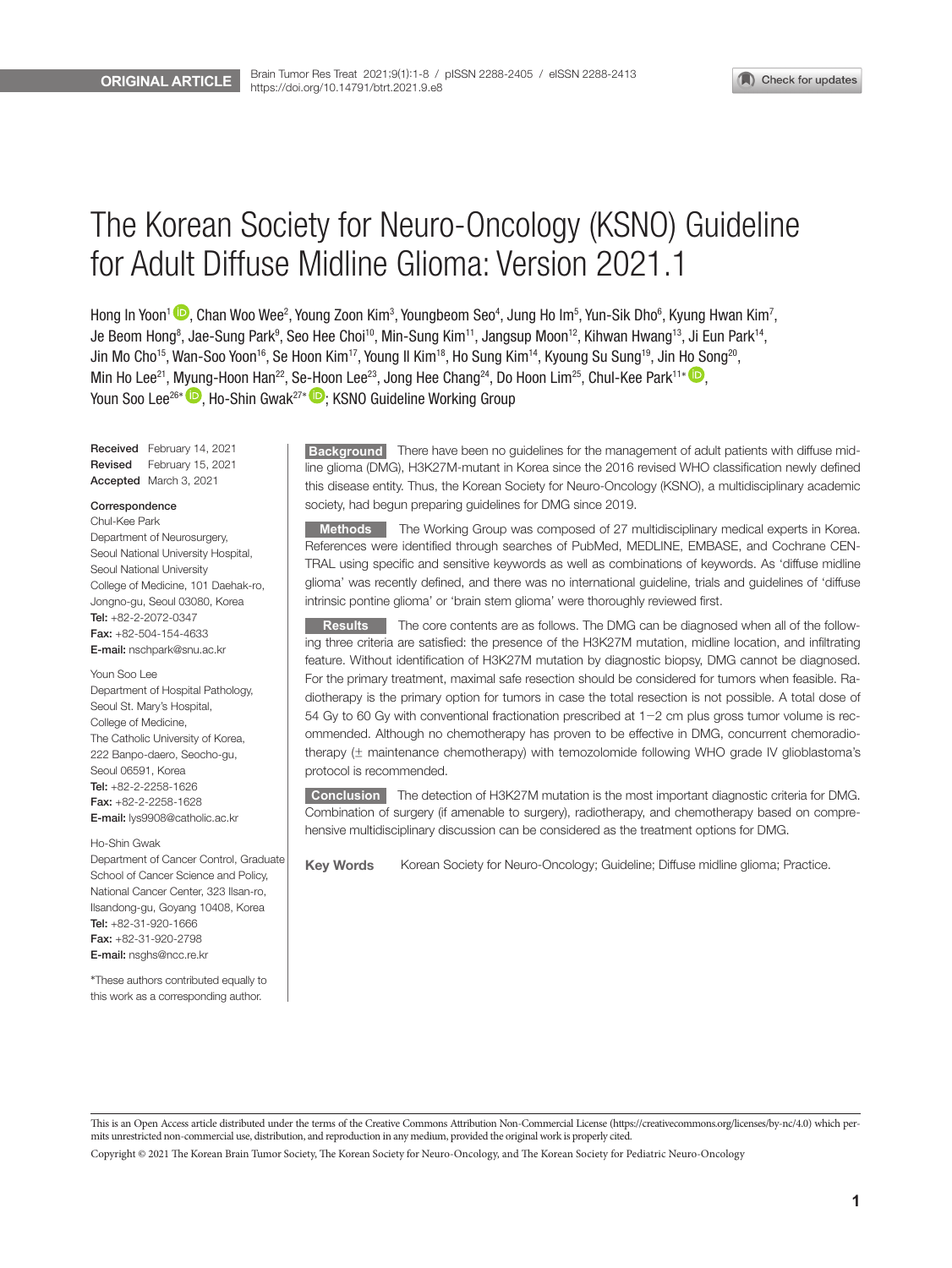# The Korean Society for Neuro-Oncology (KSNO) Guideline for Adult Diffuse Midline Glioma: Version 2021.1

Hong In Yoon<sup>1</sup> (D, Chan Woo Wee<sup>2</sup>, Young Zoon Kim<sup>3</sup>, Youngbeom Seo<sup>4</sup>, Jung Ho Im<sup>5</sup>, Yun-Sik Dho<sup>6</sup>, Kyung Hwan Kim<sup>7</sup>, Je Beom Hong<sup>8</sup>, Jae-Sung Park<sup>9</sup>, Seo Hee Choi<sup>10</sup>, Min-Sung Kim<sup>11</sup>, Jangsup Moon<sup>12</sup>, Kihwan Hwang<sup>13</sup>, Ji Eun Park<sup>14</sup>, Jin Mo Cho<sup>15</sup>, Wan-Soo Yoon<sup>16</sup>, Se Hoon Kim<sup>17</sup>, Young Il Kim<sup>18</sup>, Ho Sung Kim<sup>14</sup>, Kyoung Su Sung<sup>19</sup>, Jin Ho Song<sup>20</sup>, Min Ho Lee<sup>21</sup>, Myung-Hoon Han<sup>22</sup>, Se-Hoon Lee<sup>23</sup>, Jong Hee Chang<sup>24</sup>, Do Hoon Lim<sup>25</sup>, Chul-Kee Park<sup>11\*</sup> Youn Soo Lee<sup>26\*</sup> **D**, Ho-Shin Gwak<sup>27\*</sup> **D**; KSNO Guideline Working Group

Received February 14, 2021 Revised February 15, 2021 Accepted March 3, 2021

## Correspondence

Chul-Kee Park Department of Neurosurgery, Seoul National University Hospital, Seoul National University College of Medicine, 101 Daehak-ro, Jongno-gu, Seoul 03080, Korea Tel: +82-2-2072-0347 Fax: +82-504-154-4633 E-mail: nschpark@snu.ac.kr

Youn Soo Lee Department of Hospital Pathology, Seoul St. Mary's Hospital, College of Medicine, The Catholic University of Korea, 222 Banpo-daero, Seocho-gu, Seoul 06591, Korea Tel: +82-2-2258-1626 Fax: +82-2-2258-1628 E-mail: lys9908@catholic.ac.kr

#### Ho-Shin Gwak

Department of Cancer Control, Graduate School of Cancer Science and Policy, National Cancer Center, 323 Ilsan-ro, Ilsandong-gu, Goyang 10408, Korea Tel: +82-31-920-1666 Fax: +82-31-920-2798 E-mail: nsghs@ncc.re.kr

\*These authors contributed equally to this work as a corresponding author.

**Background** There have been no guidelines for the management of adult patients with diffuse midline glioma (DMG), H3K27M-mutant in Korea since the 2016 revised WHO classification newly defined this disease entity. Thus, the Korean Society for Neuro-Oncology (KSNO), a multidisciplinary academic society, had begun preparing guidelines for DMG since 2019.

**Methods** The Working Group was composed of 27 multidisciplinary medical experts in Korea. References were identified through searches of PubMed, MEDLINE, EMBASE, and Cochrane CEN-TRAL using specific and sensitive keywords as well as combinations of keywords. As 'diffuse midline glioma' was recently defined, and there was no international guideline, trials and guidelines of 'diffuse intrinsic pontine glioma' or 'brain stem glioma' were thoroughly reviewed first.

**Results** The core contents are as follows. The DMG can be diagnosed when all of the following three criteria are satisfied: the presence of the H3K27M mutation, midline location, and infiltrating feature. Without identification of H3K27M mutation by diagnostic biopsy, DMG cannot be diagnosed. For the primary treatment, maximal safe resection should be considered for tumors when feasible. Radiotherapy is the primary option for tumors in case the total resection is not possible. A total dose of 54 Gy to 60 Gy with conventional fractionation prescribed at 1-2 cm plus gross tumor volume is recommended. Although no chemotherapy has proven to be effective in DMG, concurrent chemoradiotherapy (± maintenance chemotherapy) with temozolomide following WHO grade IV glioblastoma's protocol is recommended.

**Conclusion** The detection of H3K27M mutation is the most important diagnostic criteria for DMG. Combination of surgery (if amenable to surgery), radiotherapy, and chemotherapy based on comprehensive multidisciplinary discussion can be considered as the treatment options for DMG.

Key WordsKorean Society for Neuro-Oncology; Guideline; Diffuse midline glioma; Practice.

This is an Open Access article distributed under the terms of the Creative Commons Attribution Non-Commercial License (https://creativecommons.org/licenses/by-nc/4.0) which permits unrestricted non-commercial use, distribution, and reproduction in any medium, provided the original work is properly cited.

Copyright © 2021 The Korean Brain Tumor Society, The Korean Society for Neuro-Oncology, and The Korean Society for Pediatric Neuro-Oncology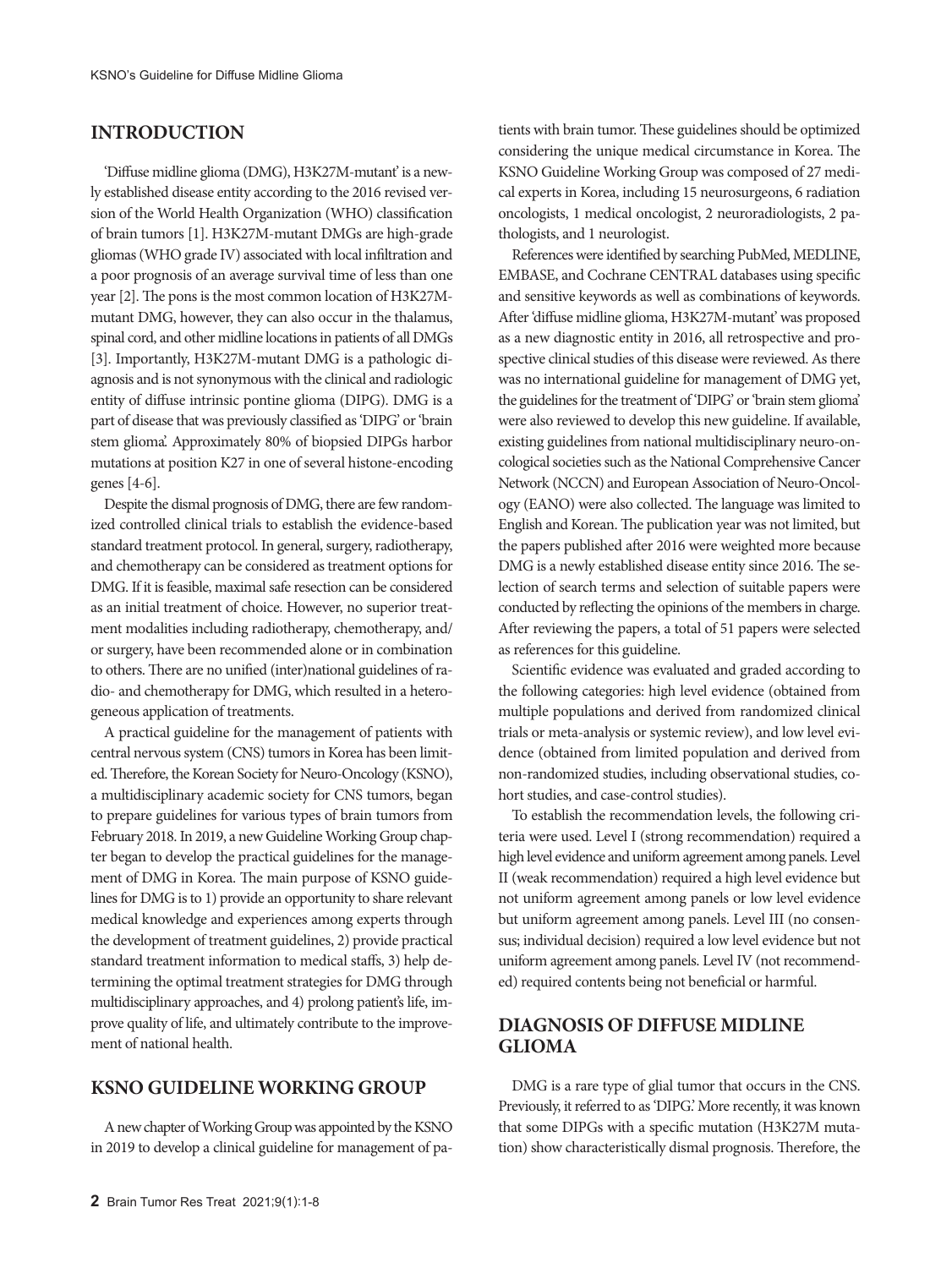# **INTRODUCTION**

'Diffuse midline glioma (DMG), H3K27M-mutant' is a newly established disease entity according to the 2016 revised version of the World Health Organization (WHO) classification of brain tumors [1]. H3K27M-mutant DMGs are high-grade gliomas (WHO grade IV) associated with local infiltration and a poor prognosis of an average survival time of less than one year [2]. The pons is the most common location of H3K27Mmutant DMG, however, they can also occur in the thalamus, spinal cord, and other midline locations in patients of all DMGs [3]. Importantly, H3K27M-mutant DMG is a pathologic diagnosis and is not synonymous with the clinical and radiologic entity of diffuse intrinsic pontine glioma (DIPG). DMG is a part of disease that was previously classified as 'DIPG' or 'brain stem glioma'. Approximately 80% of biopsied DIPGs harbor mutations at position K27 in one of several histone-encoding genes [4-6].

Despite the dismal prognosis of DMG, there are few randomized controlled clinical trials to establish the evidence-based standard treatment protocol. In general, surgery, radiotherapy, and chemotherapy can be considered as treatment options for DMG. If it is feasible, maximal safe resection can be considered as an initial treatment of choice. However, no superior treatment modalities including radiotherapy, chemotherapy, and/ or surgery, have been recommended alone or in combination to others. There are no unified (inter)national guidelines of radio- and chemotherapy for DMG, which resulted in a heterogeneous application of treatments.

A practical guideline for the management of patients with central nervous system (CNS) tumors in Korea has been limited. Therefore, the Korean Society for Neuro-Oncology (KSNO), a multidisciplinary academic society for CNS tumors, began to prepare guidelines for various types of brain tumors from February 2018. In 2019, a new Guideline Working Group chapter began to develop the practical guidelines for the management of DMG in Korea. The main purpose of KSNO guidelines for DMG is to 1) provide an opportunity to share relevant medical knowledge and experiences among experts through the development of treatment guidelines, 2) provide practical standard treatment information to medical staffs, 3) help determining the optimal treatment strategies for DMG through multidisciplinary approaches, and 4) prolong patient's life, improve quality of life, and ultimately contribute to the improvement of national health.

# **KSNO GUIDELINE WORKING GROUP**

A new chapter of Working Group was appointed by the KSNO in 2019 to develop a clinical guideline for management of patients with brain tumor. These guidelines should be optimized considering the unique medical circumstance in Korea. The KSNO Guideline Working Group was composed of 27 medical experts in Korea, including 15 neurosurgeons, 6 radiation oncologists, 1 medical oncologist, 2 neuroradiologists, 2 pathologists, and 1 neurologist.

References were identified by searching PubMed, MEDLINE, EMBASE, and Cochrane CENTRAL databases using specific and sensitive keywords as well as combinations of keywords. After 'diffuse midline glioma, H3K27M-mutant' was proposed as a new diagnostic entity in 2016, all retrospective and prospective clinical studies of this disease were reviewed. As there was no international guideline for management of DMG yet, the guidelines for the treatment of 'DIPG' or 'brain stem glioma' were also reviewed to develop this new guideline. If available, existing guidelines from national multidisciplinary neuro-oncological societies such as the National Comprehensive Cancer Network (NCCN) and European Association of Neuro-Oncology (EANO) were also collected. The language was limited to English and Korean. The publication year was not limited, but the papers published after 2016 were weighted more because DMG is a newly established disease entity since 2016. The selection of search terms and selection of suitable papers were conducted by reflecting the opinions of the members in charge. After reviewing the papers, a total of 51 papers were selected as references for this guideline.

Scientific evidence was evaluated and graded according to the following categories: high level evidence (obtained from multiple populations and derived from randomized clinical trials or meta-analysis or systemic review), and low level evidence (obtained from limited population and derived from non-randomized studies, including observational studies, cohort studies, and case-control studies).

To establish the recommendation levels, the following criteria were used. Level I (strong recommendation) required a high level evidence and uniform agreement among panels. Level II (weak recommendation) required a high level evidence but not uniform agreement among panels or low level evidence but uniform agreement among panels. Level III (no consensus; individual decision) required a low level evidence but not uniform agreement among panels. Level IV (not recommended) required contents being not beneficial or harmful.

# **DIAGNOSIS OF DIFFUSE MIDLINE GLIOMA**

DMG is a rare type of glial tumor that occurs in the CNS. Previously, it referred to as 'DIPG.' More recently, it was known that some DIPGs with a specific mutation (H3K27M mutation) show characteristically dismal prognosis. Therefore, the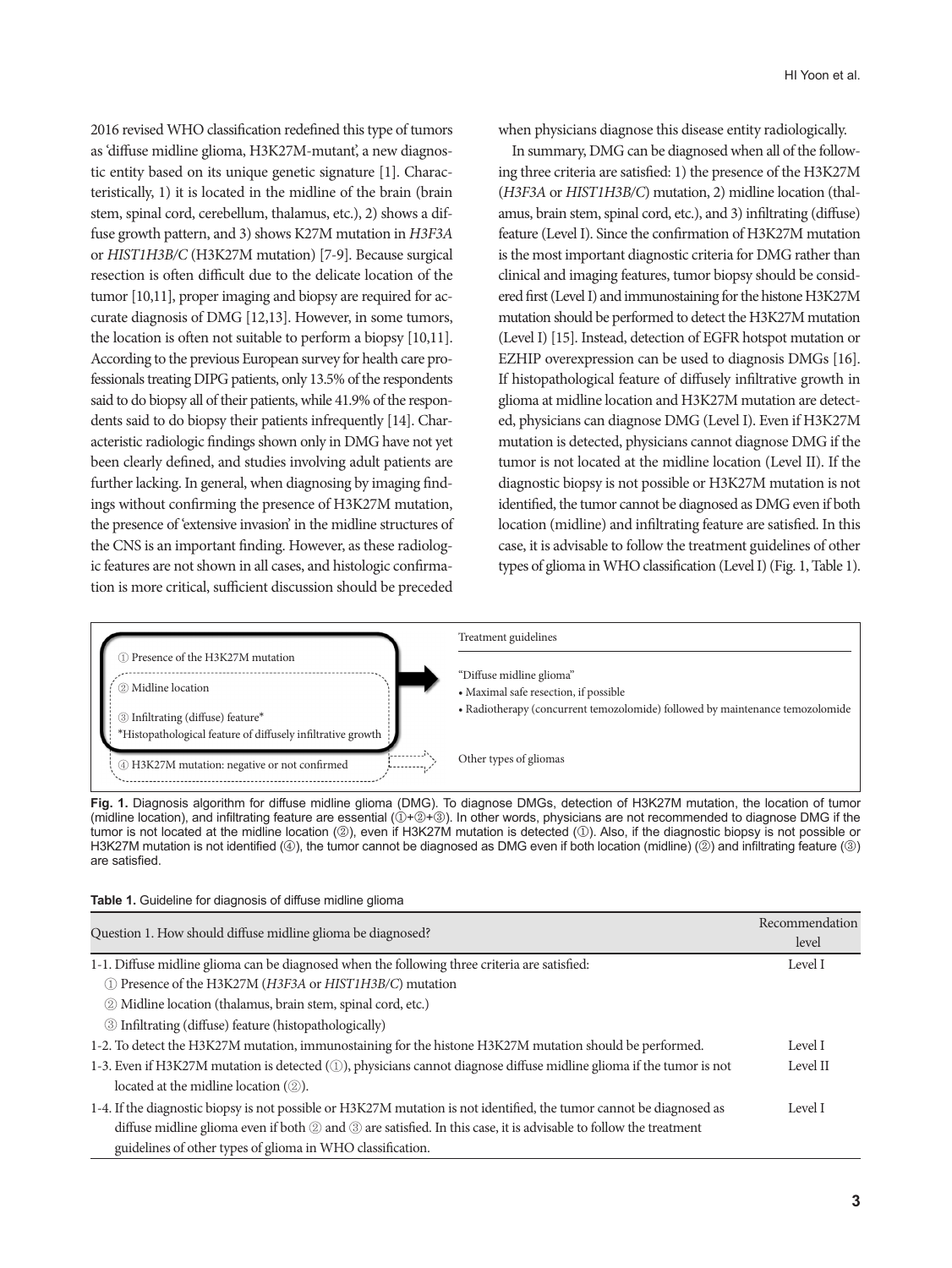2016 revised WHO classification redefined this type of tumors as 'diffuse midline glioma, H3K27M-mutant', a new diagnostic entity based on its unique genetic signature [1]. Characteristically, 1) it is located in the midline of the brain (brain stem, spinal cord, cerebellum, thalamus, etc.), 2) shows a diffuse growth pattern, and 3) shows K27M mutation in *H3F3A* or *HIST1H3B/C* (H3K27M mutation) [7-9]. Because surgical resection is often difficult due to the delicate location of the tumor [10,11], proper imaging and biopsy are required for accurate diagnosis of DMG [12,13]. However, in some tumors, the location is often not suitable to perform a biopsy [10,11]. According to the previous European survey for health care professionals treating DIPG patients, only 13.5% of the respondents said to do biopsy all of their patients, while 41.9% of the respondents said to do biopsy their patients infrequently [14]. Characteristic radiologic findings shown only in DMG have not yet been clearly defined, and studies involving adult patients are further lacking. In general, when diagnosing by imaging findings without confirming the presence of H3K27M mutation, the presence of 'extensive invasion' in the midline structures of the CNS is an important finding. However, as these radiologic features are not shown in all cases, and histologic confirmation is more critical, sufficient discussion should be preceded

when physicians diagnose this disease entity radiologically.

In summary, DMG can be diagnosed when all of the following three criteria are satisfied: 1) the presence of the H3K27M (*H3F3A* or *HIST1H3B/C*) mutation, 2) midline location (thalamus, brain stem, spinal cord, etc.), and 3) infiltrating (diffuse) feature (Level I). Since the confirmation of H3K27M mutation is the most important diagnostic criteria for DMG rather than clinical and imaging features, tumor biopsy should be considered first (Level I) and immunostaining for the histone H3K27M mutation should be performed to detect the H3K27M mutation (Level I) [15]. Instead, detection of EGFR hotspot mutation or EZHIP overexpression can be used to diagnosis DMGs [16]. If histopathological feature of diffusely infiltrative growth in glioma at midline location and H3K27M mutation are detected, physicians can diagnose DMG (Level I). Even if H3K27M mutation is detected, physicians cannot diagnose DMG if the tumor is not located at the midline location (Level II). If the diagnostic biopsy is not possible or H3K27M mutation is not identified, the tumor cannot be diagnosed as DMG even if both location (midline) and infiltrating feature are satisfied. In this case, it is advisable to follow the treatment guidelines of other types of glioma in WHO classification (Level I) (Fig. 1, Table 1).



**Fig. 1.** Diagnosis algorithm for diffuse midline glioma (DMG). To diagnose DMGs, detection of H3K27M mutation, the location of tumor (midline location), and infiltrating feature are essential (①+②+③). In other words, physicians are not recommended to diagnose DMG if the tumor is not located at the midline location (②), even if H3K27M mutation is detected (①). Also, if the diagnostic biopsy is not possible or H3K27M mutation is not identified (4), the tumor cannot be diagnosed as DMG even if both location (midline) (2) and infiltrating feature (3) are satisfied.

| Table 1. Guideline for diagnosis of diffuse midline glioma |  |  |  |
|------------------------------------------------------------|--|--|--|
|------------------------------------------------------------|--|--|--|

|                                                                                                                      | Recommendation |  |
|----------------------------------------------------------------------------------------------------------------------|----------------|--|
| Question 1. How should diffuse midline glioma be diagnosed?                                                          | level          |  |
| 1-1. Diffuse midline glioma can be diagnosed when the following three criteria are satisfied:                        | Level I        |  |
| 1) Presence of the H3K27M (H3F3A or HIST1H3B/C) mutation                                                             |                |  |
| 2 Midline location (thalamus, brain stem, spinal cord, etc.)                                                         |                |  |
| 3 Infiltrating (diffuse) feature (histopathologically)                                                               |                |  |
| 1-2. To detect the H3K27M mutation, immunostaining for the histone H3K27M mutation should be performed.              | Level I        |  |
| 1-3. Even if H3K27M mutation is detected (1), physicians cannot diagnose diffuse midline glioma if the tumor is not  | Level II       |  |
| located at the midline location $(\circled{2})$ .                                                                    |                |  |
| 1-4. If the diagnostic biopsy is not possible or H3K27M mutation is not identified, the tumor cannot be diagnosed as | Level I        |  |
| diffuse midline glioma even if both 2 and 3 are satisfied. In this case, it is advisable to follow the treatment     |                |  |
| guidelines of other types of glioma in WHO classification.                                                           |                |  |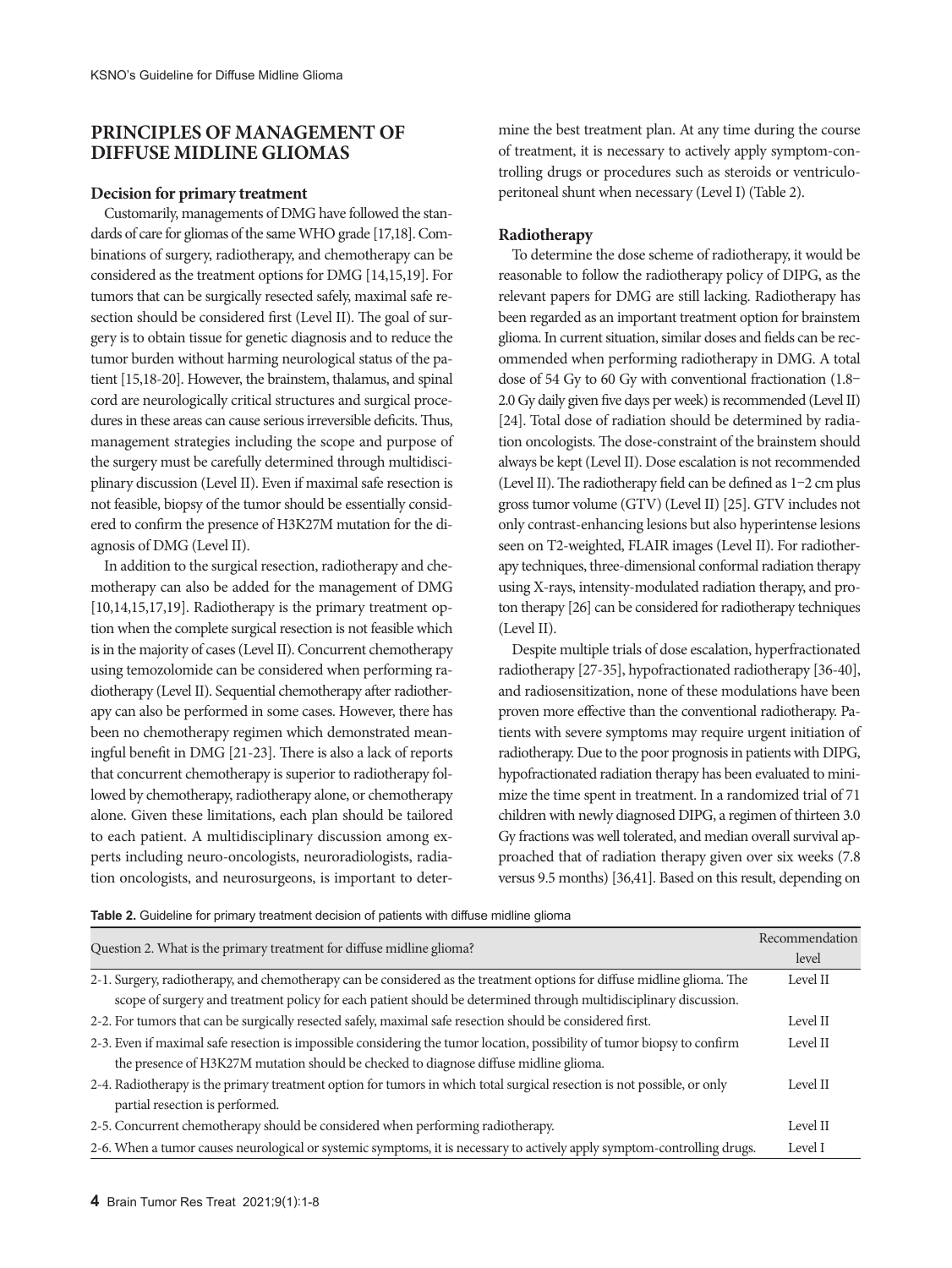# **PRINCIPLES OF MANAGEMENT OF DIFFUSE MIDLINE GLIOMAS**

## **Decision for primary treatment**

Customarily, managements of DMG have followed the standards of care for gliomas of the same WHO grade [17,18]. Combinations of surgery, radiotherapy, and chemotherapy can be considered as the treatment options for DMG [14,15,19]. For tumors that can be surgically resected safely, maximal safe resection should be considered first (Level II). The goal of surgery is to obtain tissue for genetic diagnosis and to reduce the tumor burden without harming neurological status of the patient [15,18-20]. However, the brainstem, thalamus, and spinal cord are neurologically critical structures and surgical procedures in these areas can cause serious irreversible deficits. Thus, management strategies including the scope and purpose of the surgery must be carefully determined through multidisciplinary discussion (Level II). Even if maximal safe resection is not feasible, biopsy of the tumor should be essentially considered to confirm the presence of H3K27M mutation for the diagnosis of DMG (Level II).

In addition to the surgical resection, radiotherapy and chemotherapy can also be added for the management of DMG [10,14,15,17,19]. Radiotherapy is the primary treatment option when the complete surgical resection is not feasible which is in the majority of cases (Level II). Concurrent chemotherapy using temozolomide can be considered when performing radiotherapy (Level II). Sequential chemotherapy after radiotherapy can also be performed in some cases. However, there has been no chemotherapy regimen which demonstrated meaningful benefit in DMG [21-23]. There is also a lack of reports that concurrent chemotherapy is superior to radiotherapy followed by chemotherapy, radiotherapy alone, or chemotherapy alone. Given these limitations, each plan should be tailored to each patient. A multidisciplinary discussion among experts including neuro-oncologists, neuroradiologists, radiation oncologists, and neurosurgeons, is important to determine the best treatment plan. At any time during the course of treatment, it is necessary to actively apply symptom-controlling drugs or procedures such as steroids or ventriculoperitoneal shunt when necessary (Level I) (Table 2).

## **Radiotherapy**

To determine the dose scheme of radiotherapy, it would be reasonable to follow the radiotherapy policy of DIPG, as the relevant papers for DMG are still lacking. Radiotherapy has been regarded as an important treatment option for brainstem glioma. In current situation, similar doses and fields can be recommended when performing radiotherapy in DMG. A total dose of 54 Gy to 60 Gy with conventional fractionation (1.8– 2.0 Gy daily given five days per week) is recommended (Level II) [24]. Total dose of radiation should be determined by radiation oncologists. The dose-constraint of the brainstem should always be kept (Level II). Dose escalation is not recommended (Level II). The radiotherapy field can be defined as 1–2 cm plus gross tumor volume (GTV) (Level II) [25]. GTV includes not only contrast-enhancing lesions but also hyperintense lesions seen on T2-weighted, FLAIR images (Level II). For radiotherapy techniques, three-dimensional conformal radiation therapy using X-rays, intensity-modulated radiation therapy, and proton therapy [26] can be considered for radiotherapy techniques (Level II).

Despite multiple trials of dose escalation, hyperfractionated radiotherapy [27-35], hypofractionated radiotherapy [36-40], and radiosensitization, none of these modulations have been proven more effective than the conventional radiotherapy. Patients with severe symptoms may require urgent initiation of radiotherapy. Due to the poor prognosis in patients with DIPG, hypofractionated radiation therapy has been evaluated to minimize the time spent in treatment. In a randomized trial of 71 children with newly diagnosed DIPG, a regimen of thirteen 3.0 Gy fractions was well tolerated, and median overall survival approached that of radiation therapy given over six weeks (7.8 versus 9.5 months) [36,41]. Based on this result, depending on

|  |  |  |  |  |  |  |  | Table 2. Guideline for primary treatment decision of patients with diffuse midline glioma |
|--|--|--|--|--|--|--|--|-------------------------------------------------------------------------------------------|
|--|--|--|--|--|--|--|--|-------------------------------------------------------------------------------------------|

| Question 2. What is the primary treatment for diffuse midline glioma?                                                                                                                                             |          |
|-------------------------------------------------------------------------------------------------------------------------------------------------------------------------------------------------------------------|----------|
|                                                                                                                                                                                                                   |          |
| 2-2. For tumors that can be surgically resected safely, maximal safe resection should be considered first.                                                                                                        | Level II |
| 2-3. Even if maximal safe resection is impossible considering the tumor location, possibility of tumor biopsy to confirm<br>the presence of H3K27M mutation should be checked to diagnose diffuse midline glioma. | Level II |
| 2-4. Radiotherapy is the primary treatment option for tumors in which total surgical resection is not possible, or only<br>partial resection is performed.                                                        | Level II |
| 2-5. Concurrent chemotherapy should be considered when performing radiotherapy.                                                                                                                                   | Level II |
| 2-6. When a tumor causes neurological or systemic symptoms, it is necessary to actively apply symptom-controlling drugs.                                                                                          | Level I  |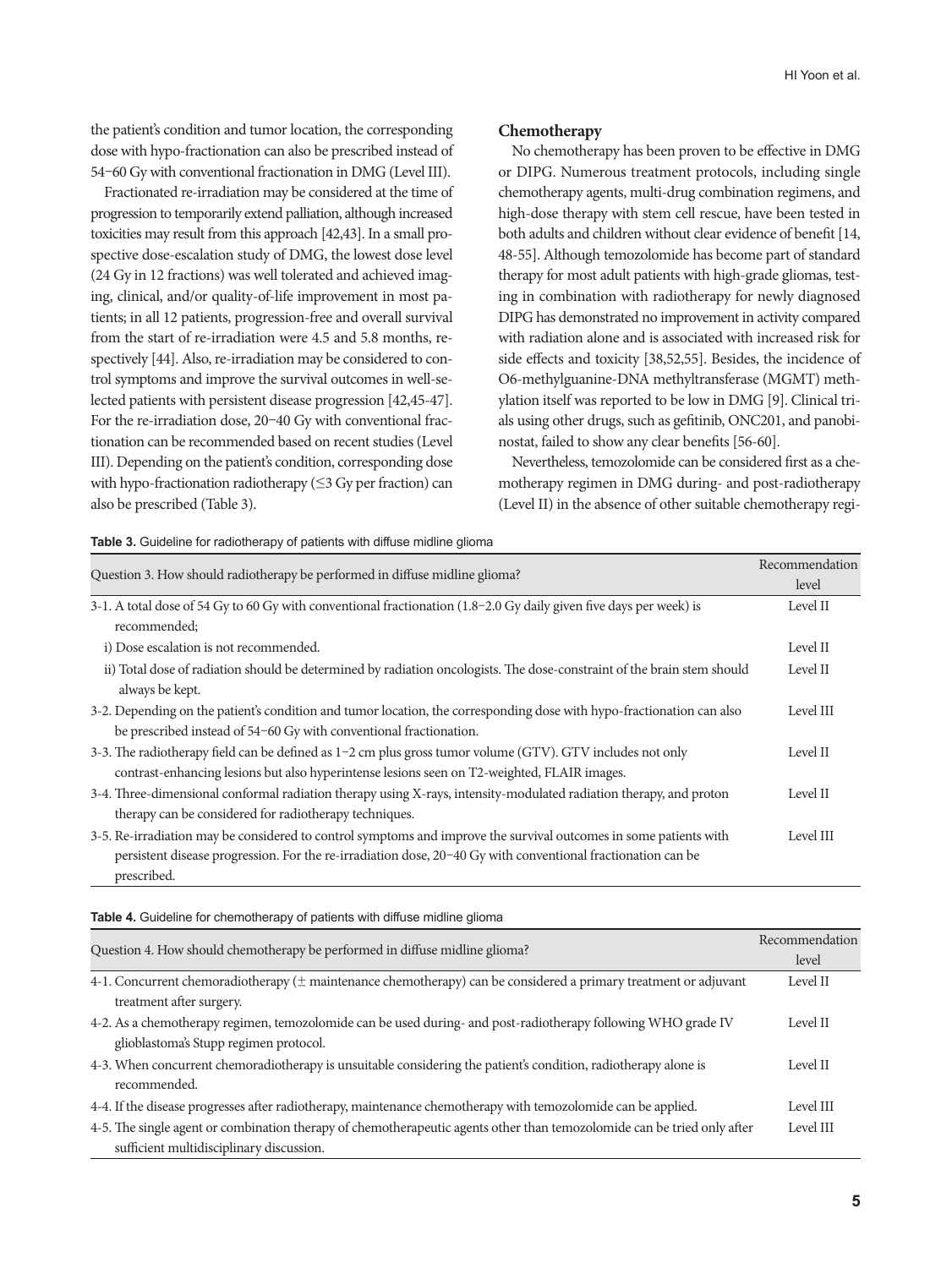the patient's condition and tumor location, the corresponding dose with hypo-fractionation can also be prescribed instead of 54–60 Gy with conventional fractionation in DMG (Level III).

Fractionated re-irradiation may be considered at the time of progression to temporarily extend palliation, although increased toxicities may result from this approach [42,43]. In a small prospective dose-escalation study of DMG, the lowest dose level (24 Gy in 12 fractions) was well tolerated and achieved imaging, clinical, and/or quality-of-life improvement in most patients; in all 12 patients, progression-free and overall survival from the start of re-irradiation were 4.5 and 5.8 months, respectively [44]. Also, re-irradiation may be considered to control symptoms and improve the survival outcomes in well-selected patients with persistent disease progression [42,45-47]. For the re-irradiation dose, 20–40 Gy with conventional fractionation can be recommended based on recent studies (Level III). Depending on the patient's condition, corresponding dose with hypo-fractionation radiotherapy (≤3 Gy per fraction) can also be prescribed (Table 3).

## **Chemotherapy**

No chemotherapy has been proven to be effective in DMG or DIPG. Numerous treatment protocols, including single chemotherapy agents, multi-drug combination regimens, and high-dose therapy with stem cell rescue, have been tested in both adults and children without clear evidence of benefit [14, 48-55]. Although temozolomide has become part of standard therapy for most adult patients with high-grade gliomas, testing in combination with radiotherapy for newly diagnosed DIPG has demonstrated no improvement in activity compared with radiation alone and is associated with increased risk for side effects and toxicity [38,52,55]. Besides, the incidence of O6-methylguanine-DNA methyltransferase (MGMT) methylation itself was reported to be low in DMG [9]. Clinical trials using other drugs, such as gefitinib, ONC201, and panobinostat, failed to show any clear benefits [56-60].

Nevertheless, temozolomide can be considered first as a chemotherapy regimen in DMG during- and post-radiotherapy (Level II) in the absence of other suitable chemotherapy regi-

**Table 3.** Guideline for radiotherapy of patients with diffuse midline glioma

| Question 3. How should radiotherapy be performed in diffuse midline glioma?                                             |           |
|-------------------------------------------------------------------------------------------------------------------------|-----------|
|                                                                                                                         |           |
| recommended:                                                                                                            |           |
| i) Dose escalation is not recommended.                                                                                  | Level II  |
| ii) Total dose of radiation should be determined by radiation oncologists. The dose-constraint of the brain stem should | Level II  |
| always be kept.                                                                                                         |           |
| 3-2. Depending on the patient's condition and tumor location, the corresponding dose with hypo-fractionation can also   | Level III |
| be prescribed instead of 54-60 Gy with conventional fractionation.                                                      |           |
| 3-3. The radiotherapy field can be defined as 1-2 cm plus gross tumor volume (GTV). GTV includes not only               | Level II  |
| contrast-enhancing lesions but also hyperintense lesions seen on T2-weighted, FLAIR images.                             |           |
| 3-4. Three-dimensional conformal radiation therapy using X-rays, intensity-modulated radiation therapy, and proton      | Level II  |
| therapy can be considered for radiotherapy techniques.                                                                  |           |
| 3-5. Re-irradiation may be considered to control symptoms and improve the survival outcomes in some patients with       | Level III |
| persistent disease progression. For the re-irradiation dose, 20-40 Gy with conventional fractionation can be            |           |
| prescribed.                                                                                                             |           |

| Table 4. Guideline for chemotherapy of patients with diffuse midline glioma                                                                                         |                         |
|---------------------------------------------------------------------------------------------------------------------------------------------------------------------|-------------------------|
| Question 4. How should chemotherapy be performed in diffuse midline glioma?                                                                                         | Recommendation<br>level |
| 4-1. Concurrent chemoradiotherapy ( $\pm$ maintenance chemotherapy) can be considered a primary treatment or adjuvant<br>treatment after surgery.                   | Level II                |
| 4-2. As a chemotherapy regimen, temozolomide can be used during- and post-radiotherapy following WHO grade IV<br>glioblastoma's Stupp regimen protocol.             | Level II                |
| 4-3. When concurrent chemoradiotherapy is unsuitable considering the patient's condition, radiotherapy alone is<br>recommended.                                     | Level II                |
| 4-4. If the disease progresses after radiotherapy, maintenance chemotherapy with temozolomide can be applied.                                                       | Level III               |
| 4-5. The single agent or combination therapy of chemotherapeutic agents other than temozolomide can be tried only after<br>sufficient multidisciplinary discussion. | Level III               |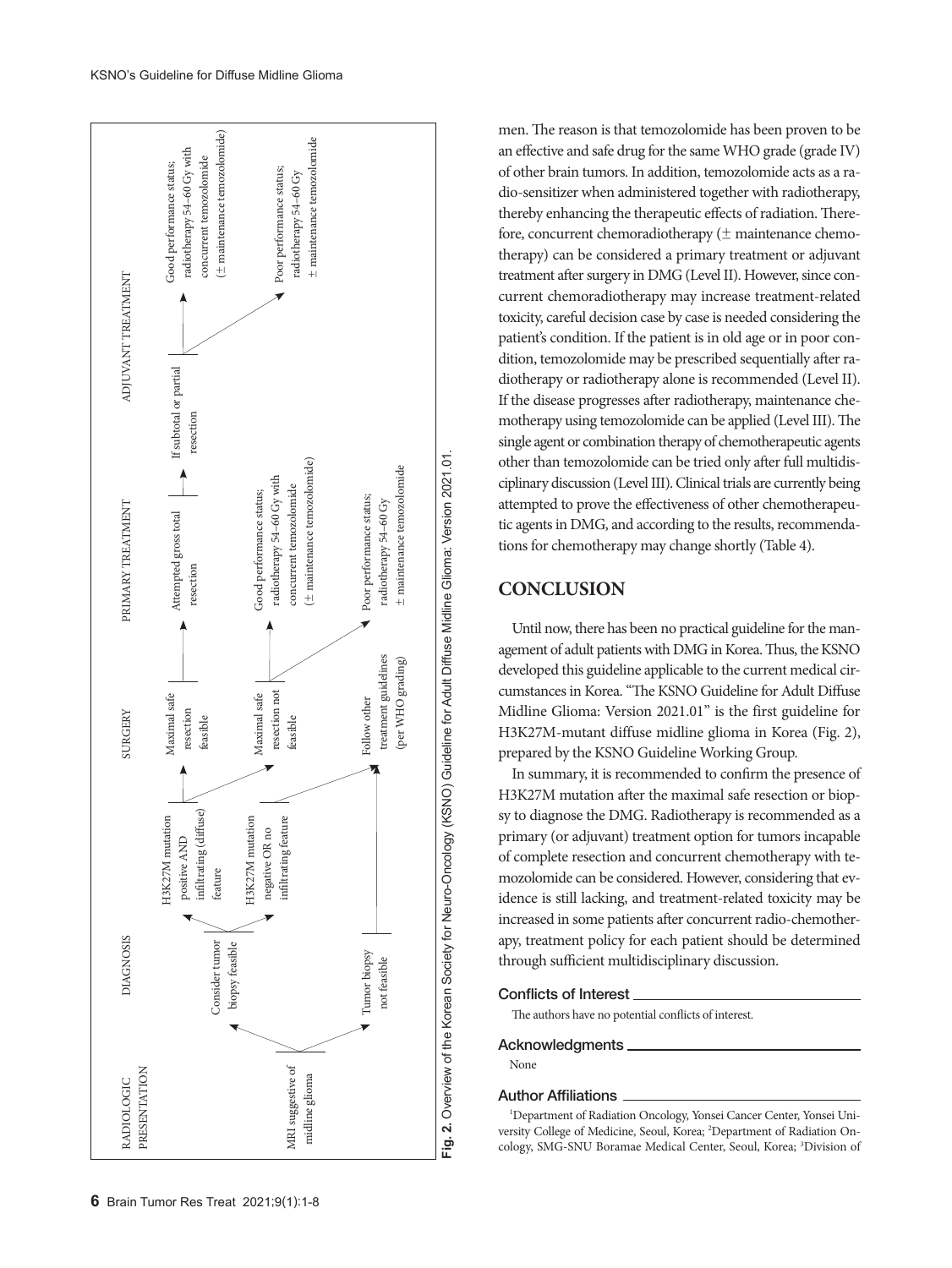

men. The reason is that temozolomide has been proven to be an effective and safe drug for the same WHO grade (grade IV) of other brain tumors. In addition, temozolomide acts as a radio-sensitizer when administered together with radiotherapy, thereby enhancing the therapeutic effects of radiation. Therefore, concurrent chemoradiotherapy (± maintenance chemotherapy) can be considered a primary treatment or adjuvant treatment after surgery in DMG (Level II). However, since concurrent chemoradiotherapy may increase treatment-related toxicity, careful decision case by case is needed considering the patient's condition. If the patient is in old age or in poor condition, temozolomide may be prescribed sequentially after radiotherapy or radiotherapy alone is recommended (Level II). If the disease progresses after radiotherapy, maintenance chemotherapy using temozolomide can be applied (Level III). The single agent or combination therapy of chemotherapeutic agents other than temozolomide can be tried only after full multidisciplinary discussion (Level III). Clinical trials are currently being attempted to prove the effectiveness of other chemotherapeutic agents in DMG, and according to the results, recommendations for chemotherapy may change shortly (Table 4).

# **CONCLUSION**

Until now, there has been no practical guideline for the management of adult patients with DMG in Korea. Thus, the KSNO developed this guideline applicable to the current medical circumstances in Korea. "The KSNO Guideline for Adult Diffuse Midline Glioma: Version 2021.01" is the first guideline for H3K27M-mutant diffuse midline glioma in Korea (Fig. 2), prepared by the KSNO Guideline Working Group.

In summary, it is recommended to confirm the presence of H3K27M mutation after the maximal safe resection or biopsy to diagnose the DMG. Radiotherapy is recommended as a primary (or adjuvant) treatment option for tumors incapable of complete resection and concurrent chemotherapy with temozolomide can be considered. However, considering that evidence is still lacking, and treatment-related toxicity may be increased in some patients after concurrent radio-chemotherapy, treatment policy for each patient should be determined through sufficient multidisciplinary discussion.

## Conflicts of Interest

The authors have no potential conflicts of interest.

## Acknowledgments

None

## Author Affiliations

<sup>1</sup>Department of Radiation Oncology, Yonsei Cancer Center, Yonsei University College of Medicine, Seoul, Korea; 2 Department of Radiation Oncology, SMG-SNU Boramae Medical Center, Seoul, Korea; 3 Division of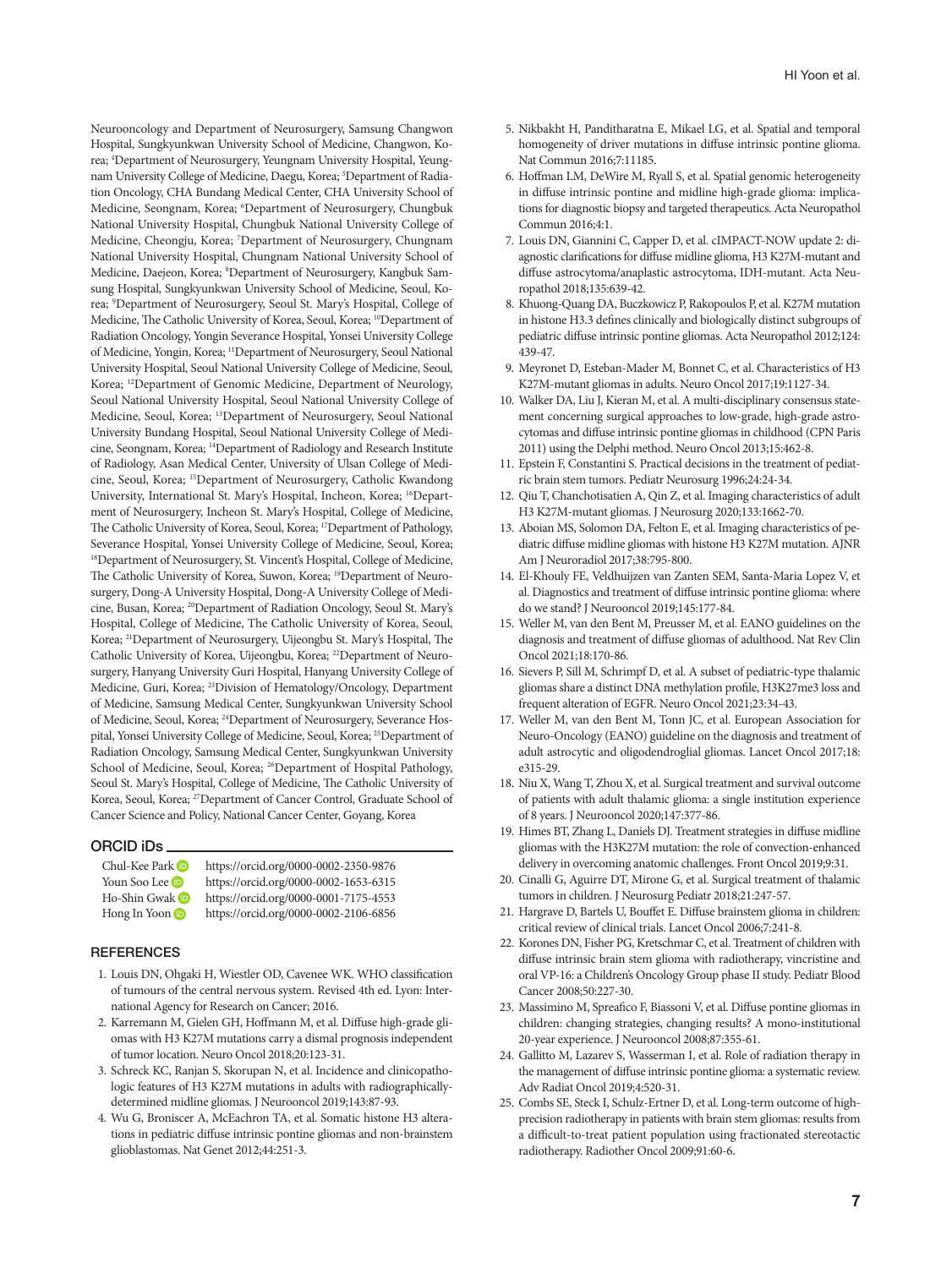Neurooncology and Department of Neurosurgery, Samsung Changwon Hospital, Sungkyunkwan University School of Medicine, Changwon, Korea; 4 Department of Neurosurgery, Yeungnam University Hospital, Yeungnam University College of Medicine, Daegu, Korea; <sup>5</sup>Department of Radiation Oncology, CHA Bundang Medical Center, CHA University School of Medicine, Seongnam, Korea; 6 Department of Neurosurgery, Chungbuk National University Hospital, Chungbuk National University College of Medicine, Cheongju, Korea; 7 Department of Neurosurgery, Chungnam National University Hospital, Chungnam National University School of Medicine, Daejeon, Korea; <sup>8</sup>Department of Neurosurgery, Kangbuk Samsung Hospital, Sungkyunkwan University School of Medicine, Seoul, Korea; 9 Department of Neurosurgery, Seoul St. Mary's Hospital, College of Medicine, The Catholic University of Korea, Seoul, Korea; <sup>10</sup>Department of Radiation Oncology, Yongin Severance Hospital, Yonsei University College of Medicine, Yongin, Korea; 11Department of Neurosurgery, Seoul National University Hospital, Seoul National University College of Medicine, Seoul, Korea; 12Department of Genomic Medicine, Department of Neurology, Seoul National University Hospital, Seoul National University College of Medicine, Seoul, Korea; 13Department of Neurosurgery, Seoul National University Bundang Hospital, Seoul National University College of Medicine, Seongnam, Korea; 14Department of Radiology and Research Institute of Radiology, Asan Medical Center, University of Ulsan College of Medicine, Seoul, Korea; 15Department of Neurosurgery, Catholic Kwandong University, International St. Mary's Hospital, Incheon, Korea; 16Department of Neurosurgery, Incheon St. Mary's Hospital, College of Medicine, The Catholic University of Korea, Seoul, Korea; 17Department of Pathology, Severance Hospital, Yonsei University College of Medicine, Seoul, Korea; 18Department of Neurosurgery, St. Vincent's Hospital, College of Medicine, The Catholic University of Korea, Suwon, Korea; 19Department of Neurosurgery, Dong-A University Hospital, Dong-A University College of Medicine, Busan, Korea; 20Department of Radiation Oncology, Seoul St. Mary's Hospital, College of Medicine, The Catholic University of Korea, Seoul, Korea; 21Department of Neurosurgery, Uijeongbu St. Mary's Hospital, The Catholic University of Korea, Uijeongbu, Korea; 22Department of Neurosurgery, Hanyang University Guri Hospital, Hanyang University College of Medicine, Guri, Korea; 23Division of Hematology/Oncology, Department of Medicine, Samsung Medical Center, Sungkyunkwan University School of Medicine, Seoul, Korea; 24Department of Neurosurgery, Severance Hospital, Yonsei University College of Medicine, Seoul, Korea; 25Department of Radiation Oncology, Samsung Medical Center, Sungkyunkwan University School of Medicine, Seoul, Korea; <sup>26</sup>Department of Hospital Pathology, Seoul St. Mary's Hospital, College of Medicine, The Catholic University of Korea, Seoul, Korea; 27Department of Cancer Control, Graduate School of Cancer Science and Policy, National Cancer Center, Goyang, Korea

### ORCID iDs

| Chul-Kee Park (D | https://orcid.org/0000-0002-2350-9876 |
|------------------|---------------------------------------|
| Youn Soo Lee D   | https://orcid.org/0000-0002-1653-6315 |
| Ho-Shin Gwak D   | https://orcid.org/0000-0001-7175-4553 |
| Hong In Yoon (D) | https://orcid.org/0000-0002-2106-6856 |

### **REFERENCES**

- 1. Louis DN, Ohgaki H, Wiestler OD, Cavenee WK. WHO classification of tumours of the central nervous system. Revised 4th ed. Lyon: International Agency for Research on Cancer; 2016.
- 2. Karremann M, Gielen GH, Hoffmann M, et al. Diffuse high-grade gliomas with H3 K27M mutations carry a dismal prognosis independent of tumor location. Neuro Oncol 2018;20:123-31.
- 3. Schreck KC, Ranjan S, Skorupan N, et al. Incidence and clinicopathologic features of H3 K27M mutations in adults with radiographicallydetermined midline gliomas. J Neurooncol 2019;143:87-93.
- 4. Wu G, Broniscer A, McEachron TA, et al. Somatic histone H3 alterations in pediatric diffuse intrinsic pontine gliomas and non-brainstem glioblastomas. Nat Genet 2012;44:251-3.
- 5. Nikbakht H, Panditharatna E, Mikael LG, et al. Spatial and temporal homogeneity of driver mutations in diffuse intrinsic pontine glioma. Nat Commun 2016;7:11185.
- 6. Hoffman LM, DeWire M, Ryall S, et al. Spatial genomic heterogeneity in diffuse intrinsic pontine and midline high-grade glioma: implications for diagnostic biopsy and targeted therapeutics. Acta Neuropathol Commun 2016;4:1.
- 7. Louis DN, Giannini C, Capper D, et al. cIMPACT-NOW update 2: diagnostic clarifications for diffuse midline glioma, H3 K27M-mutant and diffuse astrocytoma/anaplastic astrocytoma, IDH-mutant. Acta Neuropathol 2018;135:639-42.
- 8. Khuong-Quang DA, Buczkowicz P, Rakopoulos P, et al. K27M mutation in histone H3.3 defines clinically and biologically distinct subgroups of pediatric diffuse intrinsic pontine gliomas. Acta Neuropathol 2012;124: 439-47.
- 9. Meyronet D, Esteban-Mader M, Bonnet C, et al. Characteristics of H3 K27M-mutant gliomas in adults. Neuro Oncol 2017;19:1127-34.
- 10. Walker DA, Liu J, Kieran M, et al. A multi-disciplinary consensus statement concerning surgical approaches to low-grade, high-grade astrocytomas and diffuse intrinsic pontine gliomas in childhood (CPN Paris 2011) using the Delphi method. Neuro Oncol 2013;15:462-8.
- 11. Epstein F, Constantini S. Practical decisions in the treatment of pediatric brain stem tumors. Pediatr Neurosurg 1996;24:24-34.
- 12. Qiu T, Chanchotisatien A, Qin Z, et al. Imaging characteristics of adult H3 K27M-mutant gliomas. J Neurosurg 2020;133:1662-70.
- 13. Aboian MS, Solomon DA, Felton E, et al. Imaging characteristics of pediatric diffuse midline gliomas with histone H3 K27M mutation. AJNR Am J Neuroradiol 2017;38:795-800.
- 14. El-Khouly FE, Veldhuijzen van Zanten SEM, Santa-Maria Lopez V, et al. Diagnostics and treatment of diffuse intrinsic pontine glioma: where do we stand? J Neurooncol 2019;145:177-84.
- 15. Weller M, van den Bent M, Preusser M, et al. EANO guidelines on the diagnosis and treatment of diffuse gliomas of adulthood. Nat Rev Clin Oncol 2021;18:170-86.
- 16. Sievers P, Sill M, Schrimpf D, et al. A subset of pediatric-type thalamic gliomas share a distinct DNA methylation profile, H3K27me3 loss and frequent alteration of EGFR. Neuro Oncol 2021;23:34-43.
- 17. Weller M, van den Bent M, Tonn JC, et al. European Association for Neuro-Oncology (EANO) guideline on the diagnosis and treatment of adult astrocytic and oligodendroglial gliomas. Lancet Oncol 2017;18: e315-29.
- 18. Niu X, Wang T, Zhou X, et al. Surgical treatment and survival outcome of patients with adult thalamic glioma: a single institution experience of 8 years. J Neurooncol 2020;147:377-86.
- 19. Himes BT, Zhang L, Daniels DJ. Treatment strategies in diffuse midline gliomas with the H3K27M mutation: the role of convection-enhanced delivery in overcoming anatomic challenges. Front Oncol 2019;9:31.
- 20. Cinalli G, Aguirre DT, Mirone G, et al. Surgical treatment of thalamic tumors in children. J Neurosurg Pediatr 2018;21:247-57.
- 21. Hargrave D, Bartels U, Bouffet E. Diffuse brainstem glioma in children: critical review of clinical trials. Lancet Oncol 2006;7:241-8.
- 22. Korones DN, Fisher PG, Kretschmar C, et al. Treatment of children with diffuse intrinsic brain stem glioma with radiotherapy, vincristine and oral VP-16: a Children's Oncology Group phase II study. Pediatr Blood Cancer 2008;50:227-30.
- 23. Massimino M, Spreafico F, Biassoni V, et al. Diffuse pontine gliomas in children: changing strategies, changing results? A mono-institutional 20-year experience. J Neurooncol 2008;87:355-61.
- 24. Gallitto M, Lazarev S, Wasserman I, et al. Role of radiation therapy in the management of diffuse intrinsic pontine glioma: a systematic review. Adv Radiat Oncol 2019;4:520-31.
- 25. Combs SE, Steck I, Schulz-Ertner D, et al. Long-term outcome of highprecision radiotherapy in patients with brain stem gliomas: results from a difficult-to-treat patient population using fractionated stereotactic radiotherapy. Radiother Oncol 2009;91:60-6.